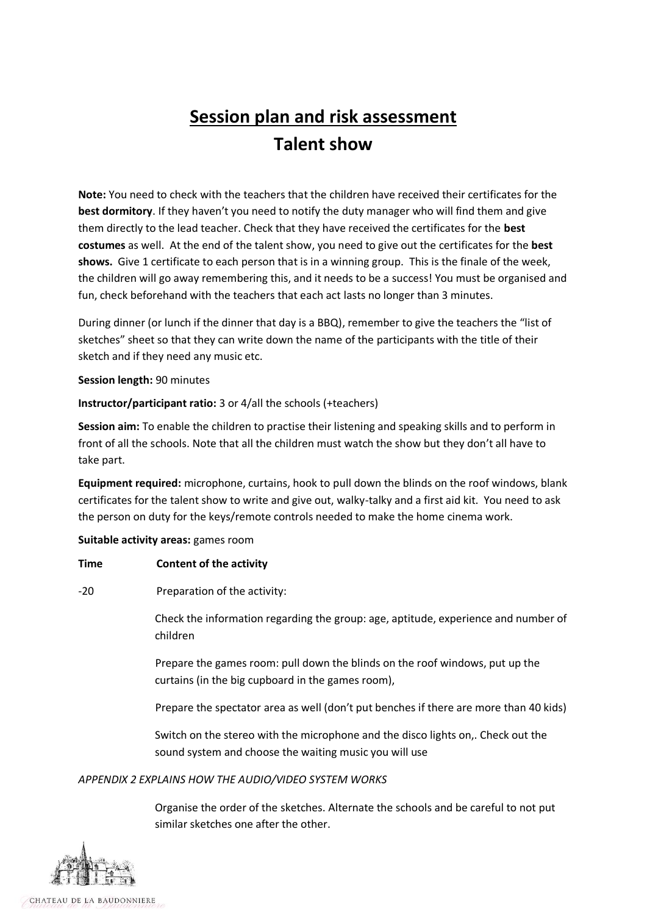# **Session plan and risk assessment Talent show**

**Note:** You need to check with the teachers that the children have received their certificates for the **best dormitory**. If they haven't you need to notify the duty manager who will find them and give them directly to the lead teacher. Check that they have received the certificates for the **best costumes** as well. At the end of the talent show, you need to give out the certificates for the **best shows.** Give 1 certificate to each person that is in a winning group.This is the finale of the week, the children will go away remembering this, and it needs to be a success! You must be organised and fun, check beforehand with the teachers that each act lasts no longer than 3 minutes.

During dinner (or lunch if the dinner that day is a BBQ), remember to give the teachers the "list of sketches" sheet so that they can write down the name of the participants with the title of their sketch and if they need any music etc.

### **Session length:** 90 minutes

# **Instructor/participant ratio:** 3 or 4/all the schools (+teachers)

**Session aim:** To enable the children to practise their listening and speaking skills and to perform in front of all the schools. Note that all the children must watch the show but they don't all have to take part.

**Equipment required:** microphone, curtains, hook to pull down the blinds on the roof windows, blank certificates for the talent show to write and give out, walky-talky and a first aid kit. You need to ask the person on duty for the keys/remote controls needed to make the home cinema work.

#### **Suitable activity areas:** games room

# **Time Content of the activity**

-20 Preparation of the activity:

Check the information regarding the group: age, aptitude, experience and number of children

Prepare the games room: pull down the blinds on the roof windows, put up the curtains (in the big cupboard in the games room),

Prepare the spectator area as well (don't put benches if there are more than 40 kids)

Switch on the stereo with the microphone and the disco lights on,. Check out the sound system and choose the waiting music you will use

# *APPENDIX 2 EXPLAINS HOW THE AUDIO/VIDEO SYSTEM WORKS*

Organise the order of the sketches. Alternate the schools and be careful to not put similar sketches one after the other.

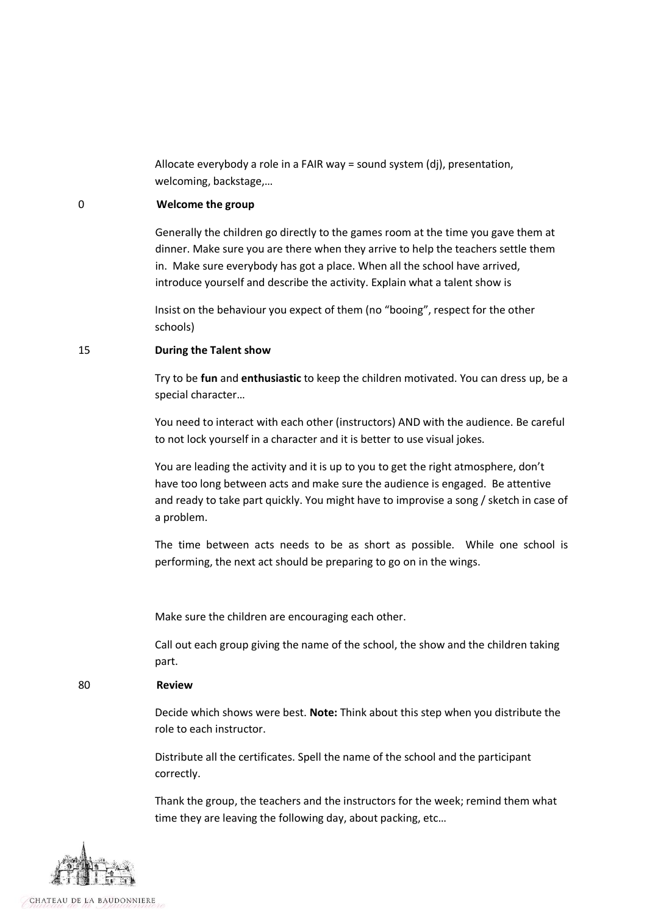Allocate everybody a role in a FAIR way = sound system (dj), presentation, welcoming, backstage,…

#### 0 **Welcome the group**

Generally the children go directly to the games room at the time you gave them at dinner. Make sure you are there when they arrive to help the teachers settle them in. Make sure everybody has got a place. When all the school have arrived, introduce yourself and describe the activity. Explain what a talent show is

Insist on the behaviour you expect of them (no "booing", respect for the other schools)

#### 15 **During the Talent show**

Try to be **fun** and **enthusiastic** to keep the children motivated. You can dress up, be a special character…

You need to interact with each other (instructors) AND with the audience. Be careful to not lock yourself in a character and it is better to use visual jokes.

You are leading the activity and it is up to you to get the right atmosphere, don't have too long between acts and make sure the audience is engaged. Be attentive and ready to take part quickly. You might have to improvise a song / sketch in case of a problem.

The time between acts needs to be as short as possible. While one school is performing, the next act should be preparing to go on in the wings.

Make sure the children are encouraging each other.

Call out each group giving the name of the school, the show and the children taking part.

### 80 **Review**

Decide which shows were best. **Note:** Think about this step when you distribute the role to each instructor.

Distribute all the certificates. Spell the name of the school and the participant correctly.

Thank the group, the teachers and the instructors for the week; remind them what time they are leaving the following day, about packing, etc…